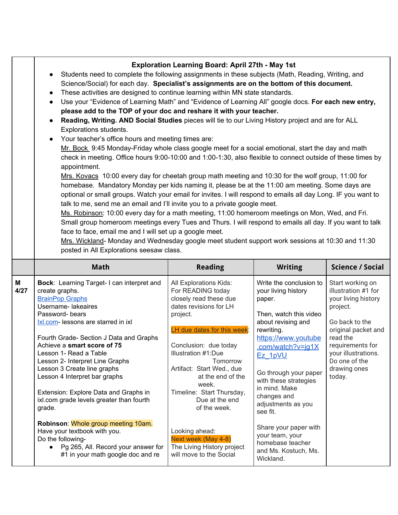|                                                                                                                                                                                                                                                                                                                                                                                                                                                                                                                                                                                                                                                                                                                                                                                                                                                                                                                                                                                                                                                                                                                                                                                                                                                                                                                                                      | $\sim$ $\sim$ $\sim$ $\sim$                             |                | $\sim$ $\sim$ $\sim$ $\sim$ $\sim$ $\sim$ $\sim$ |
|------------------------------------------------------------------------------------------------------------------------------------------------------------------------------------------------------------------------------------------------------------------------------------------------------------------------------------------------------------------------------------------------------------------------------------------------------------------------------------------------------------------------------------------------------------------------------------------------------------------------------------------------------------------------------------------------------------------------------------------------------------------------------------------------------------------------------------------------------------------------------------------------------------------------------------------------------------------------------------------------------------------------------------------------------------------------------------------------------------------------------------------------------------------------------------------------------------------------------------------------------------------------------------------------------------------------------------------------------|---------------------------------------------------------|----------------|--------------------------------------------------|
| <b>Math</b>                                                                                                                                                                                                                                                                                                                                                                                                                                                                                                                                                                                                                                                                                                                                                                                                                                                                                                                                                                                                                                                                                                                                                                                                                                                                                                                                          | <b>Reading</b>                                          | <b>Writing</b> | <b>Science / Social</b>                          |
| Small group homeroom meetings every Tues and Thurs. I will respond to emails all day. If you want to talk<br>face to face, email me and I will set up a google meet.<br>Mrs. Wickland- Monday and Wednesday google meet student support work sessions at 10:30 and 11:30<br>posted in All Explorations seesaw class.                                                                                                                                                                                                                                                                                                                                                                                                                                                                                                                                                                                                                                                                                                                                                                                                                                                                                                                                                                                                                                 |                                                         |                |                                                  |
| Science/Social) for each day. Specialist's assignments are on the bottom of this document.<br>These activities are designed to continue learning within MN state standards.<br>$\bullet$<br>Use your "Evidence of Learning Math" and "Evidence of Learning All" google docs. For each new entry,<br>$\bullet$<br>please add to the TOP of your doc and reshare it with your teacher.<br>Reading, Writing. AND Social Studies pieces will tie to our Living History project and are for ALL<br>$\bullet$<br>Explorations students.<br>Your teacher's office hours and meeting times are:<br>$\bullet$<br>Mr. Bock 9:45 Monday-Friday whole class google meet for a social emotional, start the day and math<br>check in meeting. Office hours 9:00-10:00 and 1:00-1:30, also flexible to connect outside of these times by<br>appointment.<br>Mrs. Kovacs 10:00 every day for cheetah group math meeting and 10:30 for the wolf group, 11:00 for<br>homebase. Mandatory Monday per kids naming it, please be at the 11:00 am meeting. Some days are<br>optional or small groups. Watch your email for invites. I will respond to emails all day Long. IF you want to<br>talk to me, send me an email and I'll invite you to a private google meet.<br>Ms. Robinson: 10:00 every day for a math meeting, 11:00 homeroom meetings on Mon, Wed, and Fri. |                                                         |                |                                                  |
| Students need to complete the following assignments in these subjects (Math, Reading, Writing, and<br>$\bullet$                                                                                                                                                                                                                                                                                                                                                                                                                                                                                                                                                                                                                                                                                                                                                                                                                                                                                                                                                                                                                                                                                                                                                                                                                                      | <b>Exploration Learning Board: April 27th - May 1st</b> |                |                                                  |
|                                                                                                                                                                                                                                                                                                                                                                                                                                                                                                                                                                                                                                                                                                                                                                                                                                                                                                                                                                                                                                                                                                                                                                                                                                                                                                                                                      |                                                         |                |                                                  |

|           | Math                                                                                                                                                                                                                                                                                                                                                                                                                                                                        | Reading                                                                                                                                                                                                                                                                                                                          | Writing                                                                                                                                                                                                                                                                                           | Science / Social                                                                                                                                                                                                      |
|-----------|-----------------------------------------------------------------------------------------------------------------------------------------------------------------------------------------------------------------------------------------------------------------------------------------------------------------------------------------------------------------------------------------------------------------------------------------------------------------------------|----------------------------------------------------------------------------------------------------------------------------------------------------------------------------------------------------------------------------------------------------------------------------------------------------------------------------------|---------------------------------------------------------------------------------------------------------------------------------------------------------------------------------------------------------------------------------------------------------------------------------------------------|-----------------------------------------------------------------------------------------------------------------------------------------------------------------------------------------------------------------------|
| М<br>4/27 | Bock: Learning Target-I can interpret and<br>create graphs.<br><b>BrainPop Graphs</b><br>Username- lakeaires<br>Password-bears<br>Ixl.com- lessons are starred in ixl<br>Fourth Grade- Section J Data and Graphs<br>Achieve a smart score of 75<br>Lesson 1- Read a Table<br>Lesson 2- Interpret Line Graphs<br>Lesson 3 Create line graphs<br>Lesson 4 Interpret bar graphs<br>Extension: Explore Data and Graphs in<br>ixl.com grade levels greater than fourth<br>grade. | All Explorations Kids:<br>For READING today<br>closely read these due<br>dates revisions for LH<br>project.<br>LH due dates for this week:<br>Conclusion: due today<br>Illustration #1:Due<br>Tomorrow<br>Artifact: Start Wed., due<br>at the end of the<br>week.<br>Timeline: Start Thursday,<br>Due at the end<br>of the week. | Write the conclusion to<br>your living history<br>paper.<br>Then, watch this video<br>about revising and<br>rewriting.<br>https://www.youtube<br>.com/watch?v=jg1X<br>Ez 1pVU<br>Go through your paper<br>with these strategies<br>in mind. Make<br>changes and<br>adjustments as you<br>see fit. | Start working on<br>illustration #1 for<br>your living history<br>project.<br>Go back to the<br>original packet and<br>read the<br>requirements for<br>your illustrations.<br>Do one of the<br>drawing ones<br>today. |
|           | Robinson: Whole group meeting 10am.<br>Have your textbook with you.<br>Do the following-<br>Pg 265, All. Record your answer for<br>$\bullet$<br>#1 in your math google doc and re                                                                                                                                                                                                                                                                                           | Looking ahead:<br>Next week (May 4-8)<br>The Living History project<br>will move to the Social                                                                                                                                                                                                                                   | Share your paper with<br>your team, your<br>homebase teacher<br>and Ms. Kostuch, Ms.<br>Wickland.                                                                                                                                                                                                 |                                                                                                                                                                                                                       |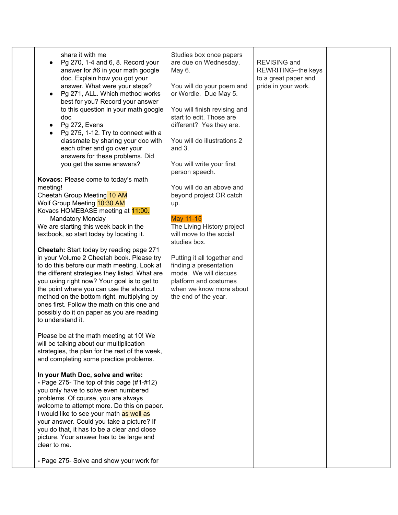| share it with me<br>Pg 270, 1-4 and 6, 8. Record your<br>answer for #6 in your math google<br>doc. Explain how you got your<br>answer. What were your steps?<br>Pg 271, ALL. Which method works<br>$\bullet$<br>best for you? Record your answer<br>to this question in your math google<br>doc<br>Pg 272, Evens<br>$\bullet$<br>Pg 275, 1-12. Try to connect with a<br>$\bullet$<br>classmate by sharing your doc with<br>each other and go over your<br>answers for these problems. Did<br>you get the same answers?<br>Kovacs: Please come to today's math<br>meeting!<br>Cheetah Group Meeting 10 AM<br>Wolf Group Meeting 10:30 AM<br>Kovacs HOMEBASE meeting at 11:00.<br><b>Mandatory Monday</b><br>We are starting this week back in the<br>textbook, so start today by locating it.<br>Cheetah: Start today by reading page 271<br>in your Volume 2 Cheetah book. Please try<br>to do this before our math meeting. Look at<br>the different strategies they listed. What are<br>you using right now? Your goal is to get to<br>the point where you can use the shortcut<br>method on the bottom right, multiplying by<br>ones first. Follow the math on this one and<br>possibly do it on paper as you are reading<br>to understand it. | Studies box once papers<br>are due on Wednesday,<br>May 6.<br>You will do your poem and<br>or Wordle. Due May 5.<br>You will finish revising and<br>start to edit. Those are<br>different? Yes they are.<br>You will do illustrations 2<br>and $3.$<br>You will write your first<br>person speech.<br>You will do an above and<br>beyond project OR catch<br>up.<br>May 11-15<br>The Living History project<br>will move to the social<br>studies box.<br>Putting it all together and<br>finding a presentation<br>mode. We will discuss<br>platform and costumes<br>when we know more about<br>the end of the year. | <b>REVISING and</b><br>REWRITING--the keys<br>to a great paper and<br>pride in your work. |  |
|---------------------------------------------------------------------------------------------------------------------------------------------------------------------------------------------------------------------------------------------------------------------------------------------------------------------------------------------------------------------------------------------------------------------------------------------------------------------------------------------------------------------------------------------------------------------------------------------------------------------------------------------------------------------------------------------------------------------------------------------------------------------------------------------------------------------------------------------------------------------------------------------------------------------------------------------------------------------------------------------------------------------------------------------------------------------------------------------------------------------------------------------------------------------------------------------------------------------------------------------------|----------------------------------------------------------------------------------------------------------------------------------------------------------------------------------------------------------------------------------------------------------------------------------------------------------------------------------------------------------------------------------------------------------------------------------------------------------------------------------------------------------------------------------------------------------------------------------------------------------------------|-------------------------------------------------------------------------------------------|--|
| Please be at the math meeting at 10! We<br>will be talking about our multiplication<br>strategies, the plan for the rest of the week,<br>and completing some practice problems.                                                                                                                                                                                                                                                                                                                                                                                                                                                                                                                                                                                                                                                                                                                                                                                                                                                                                                                                                                                                                                                                   |                                                                                                                                                                                                                                                                                                                                                                                                                                                                                                                                                                                                                      |                                                                                           |  |
| In your Math Doc, solve and write:<br>- Page 275- The top of this page $(\#1-\#12)$<br>you only have to solve even numbered<br>problems. Of course, you are always<br>welcome to attempt more. Do this on paper.<br>I would like to see your math as well as<br>your answer. Could you take a picture? If<br>you do that, it has to be a clear and close<br>picture. Your answer has to be large and<br>clear to me.                                                                                                                                                                                                                                                                                                                                                                                                                                                                                                                                                                                                                                                                                                                                                                                                                              |                                                                                                                                                                                                                                                                                                                                                                                                                                                                                                                                                                                                                      |                                                                                           |  |
| - Page 275- Solve and show your work for                                                                                                                                                                                                                                                                                                                                                                                                                                                                                                                                                                                                                                                                                                                                                                                                                                                                                                                                                                                                                                                                                                                                                                                                          |                                                                                                                                                                                                                                                                                                                                                                                                                                                                                                                                                                                                                      |                                                                                           |  |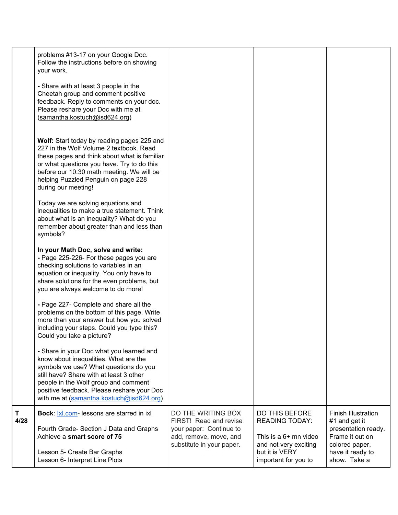| more than your answer but how you solved<br>including your steps. Could you type this?<br>Could you take a picture?<br>- Share in your Doc what you learned and<br>know about inequalities. What are the<br>symbols we use? What questions do you<br>still have? Share with at least 3 other             |  |  |
|----------------------------------------------------------------------------------------------------------------------------------------------------------------------------------------------------------------------------------------------------------------------------------------------------------|--|--|
| - Page 225-226- For these pages you are<br>checking solutions to variables in an<br>equation or inequality. You only have to<br>share solutions for the even problems, but<br>you are always welcome to do more!<br>- Page 227- Complete and share all the<br>problems on the bottom of this page. Write |  |  |
| Today we are solving equations and<br>inequalities to make a true statement. Think<br>about what is an inequality? What do you<br>remember about greater than and less than<br>symbols?<br>In your Math Doc, solve and write:                                                                            |  |  |
| Wolf: Start today by reading pages 225 and<br>227 in the Wolf Volume 2 textbook. Read<br>these pages and think about what is familiar<br>or what questions you have. Try to do this<br>before our 10:30 math meeting. We will be<br>helping Puzzled Penguin on page 228<br>during our meeting!           |  |  |
| - Share with at least 3 people in the<br>Cheetah group and comment positive<br>feedback. Reply to comments on your doc.<br>Please reshare your Doc with me at<br>(samantha.kostuch@isd624.org)                                                                                                           |  |  |
| problems #13-17 on your Google Doc.<br>Follow the instructions before on showing<br>your work.                                                                                                                                                                                                           |  |  |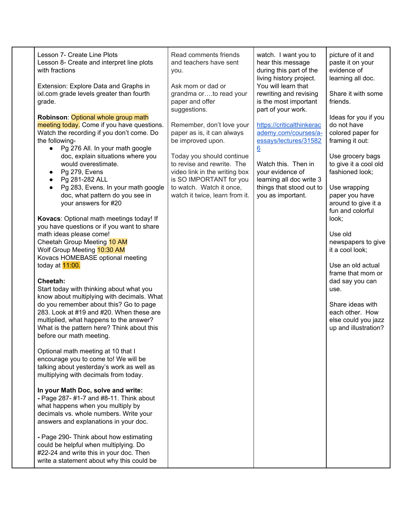| Lesson 7- Create Line Plots<br>Lesson 8- Create and interpret line plots<br>with fractions                                                                                                                                                            | Read comments friends<br>and teachers have sent<br>you.                                                             | watch. I want you to<br>hear this message<br>during this part of the<br>living history project. | picture of it and<br>paste it on your<br>evidence of<br>learning all doc.          |
|-------------------------------------------------------------------------------------------------------------------------------------------------------------------------------------------------------------------------------------------------------|---------------------------------------------------------------------------------------------------------------------|-------------------------------------------------------------------------------------------------|------------------------------------------------------------------------------------|
| Extension: Explore Data and Graphs in<br>ixl.com grade levels greater than fourth<br>grade.                                                                                                                                                           | Ask mom or dad or<br>grandma orto read your<br>paper and offer<br>suggestions.                                      | You will learn that<br>rewriting and revising<br>is the most important<br>part of your work.    | Share it with some<br>friends.                                                     |
| Robinson: Optional whole group math<br>meeting today. Come if you have questions.<br>Watch the recording if you don't come. Do<br>the following-                                                                                                      | Remember, don't love your<br>paper as is, it can always<br>be improved upon.                                        | https://criticalthinkerac<br>ademy.com/courses/a-<br>essays/lectures/31582                      | Ideas for you if you<br>do not have<br>colored paper for<br>framing it out:        |
| Pg 276 All. In your math google<br>doc, explain situations where you<br>would overestimate.<br>Pg 279, Evens<br>Pg 281-282 ALL                                                                                                                        | Today you should continue<br>to revise and rewrite. The<br>video link in the writing box<br>is SO IMPORTANT for you | $\underline{6}$<br>Watch this. Then in<br>your evidence of<br>learning all doc write 3          | Use grocery bags<br>to give it a cool old<br>fashioned look;                       |
| Pg 283, Evens. In your math google<br>doc, what pattern do you see in<br>your answers for #20                                                                                                                                                         | to watch. Watch it once,<br>watch it twice, learn from it.                                                          | things that stood out to<br>you as important.                                                   | Use wrapping<br>paper you have<br>around to give it a<br>fun and colorful          |
| Kovacs: Optional math meetings today! If<br>you have questions or if you want to share<br>math ideas please come!<br>Cheetah Group Meeting 10 AM<br>Wolf Group Meeting 10:30 AM<br>Kovacs HOMEBASE optional meeting                                   |                                                                                                                     |                                                                                                 | look;<br>Use old<br>newspapers to give<br>it a cool look;                          |
| today at 11:00.<br>Cheetah:<br>Start today with thinking about what you                                                                                                                                                                               |                                                                                                                     |                                                                                                 | Use an old actual<br>frame that mom or<br>dad say you can<br>use.                  |
| know about multiplying with decimals. What<br>do you remember about this? Go to page<br>283. Look at #19 and #20. When these are<br>multiplied, what happens to the answer?<br>What is the pattern here? Think about this<br>before our math meeting. |                                                                                                                     |                                                                                                 | Share ideas with<br>each other. How<br>else could you jazz<br>up and illustration? |
| Optional math meeting at 10 that I<br>encourage you to come to! We will be<br>talking about yesterday's work as well as<br>multiplying with decimals from today.                                                                                      |                                                                                                                     |                                                                                                 |                                                                                    |
| In your Math Doc, solve and write:<br>- Page 287- #1-7 and #8-11. Think about<br>what happens when you multiply by<br>decimals vs. whole numbers. Write your<br>answers and explanations in your doc.                                                 |                                                                                                                     |                                                                                                 |                                                                                    |
| - Page 290- Think about how estimating<br>could be helpful when multiplying. Do<br>#22-24 and write this in your doc. Then<br>write a statement about why this could be                                                                               |                                                                                                                     |                                                                                                 |                                                                                    |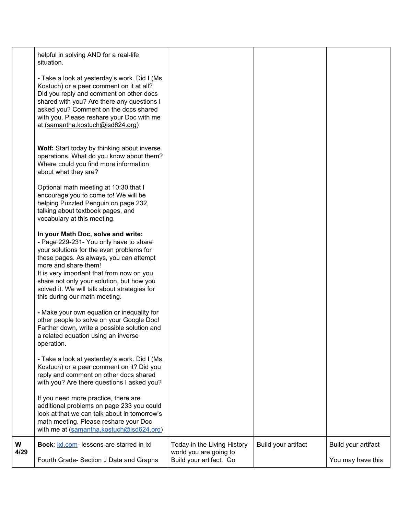|           | helpful in solving AND for a real-life<br>situation.<br>- Take a look at yesterday's work. Did I (Ms.<br>Kostuch) or a peer comment on it at all?<br>Did you reply and comment on other docs<br>shared with you? Are there any questions I<br>asked you? Comment on the docs shared<br>with you. Please reshare your Doc with me<br>at (samantha.kostuch@isd624.org)<br>Wolf: Start today by thinking about inverse<br>operations. What do you know about them?<br>Where could you find more information<br>about what they are? |                                                                                  |                     |                                          |
|-----------|----------------------------------------------------------------------------------------------------------------------------------------------------------------------------------------------------------------------------------------------------------------------------------------------------------------------------------------------------------------------------------------------------------------------------------------------------------------------------------------------------------------------------------|----------------------------------------------------------------------------------|---------------------|------------------------------------------|
|           | Optional math meeting at 10:30 that I<br>encourage you to come to! We will be<br>helping Puzzled Penguin on page 232,<br>talking about textbook pages, and<br>vocabulary at this meeting.<br>In your Math Doc, solve and write:                                                                                                                                                                                                                                                                                                  |                                                                                  |                     |                                          |
|           | - Page 229-231- You only have to share<br>your solutions for the even problems for<br>these pages. As always, you can attempt<br>more and share them!<br>It is very important that from now on you<br>share not only your solution, but how you<br>solved it. We will talk about strategies for<br>this during our math meeting.                                                                                                                                                                                                 |                                                                                  |                     |                                          |
|           | - Make your own equation or inequality for<br>other people to solve on your Google Doc!<br>Farther down, write a possible solution and<br>a related equation using an inverse<br>operation.                                                                                                                                                                                                                                                                                                                                      |                                                                                  |                     |                                          |
|           | - Take a look at yesterday's work. Did I (Ms.<br>Kostuch) or a peer comment on it? Did you<br>reply and comment on other docs shared<br>with you? Are there questions I asked you?                                                                                                                                                                                                                                                                                                                                               |                                                                                  |                     |                                          |
|           | If you need more practice, there are<br>additional problems on page 233 you could<br>look at that we can talk about in tomorrow's<br>math meeting. Please reshare your Doc<br>with me at (samantha.kostuch@isd624.org)                                                                                                                                                                                                                                                                                                           |                                                                                  |                     |                                          |
| W<br>4/29 | Bock:  x .com- lessons are starred in ixl<br>Fourth Grade- Section J Data and Graphs                                                                                                                                                                                                                                                                                                                                                                                                                                             | Today in the Living History<br>world you are going to<br>Build your artifact. Go | Build your artifact | Build your artifact<br>You may have this |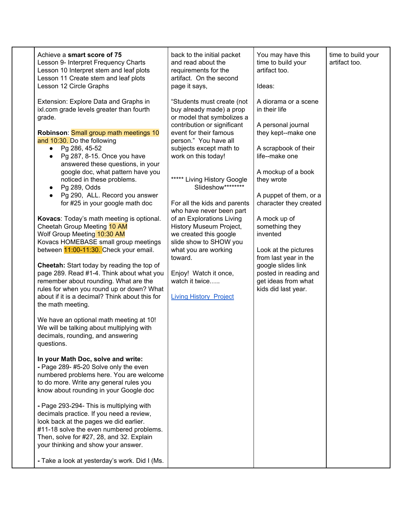| Achieve a smart score of 75<br>Lesson 9- Interpret Frequency Charts<br>Lesson 10 Interpret stem and leaf plots<br>Lesson 11 Create stem and leaf plots<br>Lesson 12 Circle Graphs                                                                                                                                                                                                                                                                                                                                                                                                                                                                                                                                                                                                                                                                                                                                                                                                                                                                                                                                                                                                                                                                                                                                                                                                                                                                                                                                                                                                                      | back to the initial packet<br>and read about the<br>requirements for the<br>artifact. On the second<br>page it says,                                                                                                                                                                                                                                                                                                                                                                                                                                                | You may have this<br>time to build your<br>artifact too.<br>Ideas:                                                                                                                                                                                                                                                                                                                                               | time to build your<br>artifact too. |
|--------------------------------------------------------------------------------------------------------------------------------------------------------------------------------------------------------------------------------------------------------------------------------------------------------------------------------------------------------------------------------------------------------------------------------------------------------------------------------------------------------------------------------------------------------------------------------------------------------------------------------------------------------------------------------------------------------------------------------------------------------------------------------------------------------------------------------------------------------------------------------------------------------------------------------------------------------------------------------------------------------------------------------------------------------------------------------------------------------------------------------------------------------------------------------------------------------------------------------------------------------------------------------------------------------------------------------------------------------------------------------------------------------------------------------------------------------------------------------------------------------------------------------------------------------------------------------------------------------|---------------------------------------------------------------------------------------------------------------------------------------------------------------------------------------------------------------------------------------------------------------------------------------------------------------------------------------------------------------------------------------------------------------------------------------------------------------------------------------------------------------------------------------------------------------------|------------------------------------------------------------------------------------------------------------------------------------------------------------------------------------------------------------------------------------------------------------------------------------------------------------------------------------------------------------------------------------------------------------------|-------------------------------------|
| Extension: Explore Data and Graphs in<br>ixl.com grade levels greater than fourth<br>grade.<br>Robinson: Small group math meetings 10<br>and 10:30. Do the following<br>Pg 286, 45-52<br>$\bullet$<br>Pg 287, 8-15. Once you have<br>$\bullet$<br>answered these questions, in your<br>google doc, what pattern have you<br>noticed in these problems.<br>Pg 289, Odds<br>$\bullet$<br>Pg 290, ALL. Record you answer<br>$\bullet$<br>for #25 in your google math doc<br>Kovacs: Today's math meeting is optional.<br>Cheetah Group Meeting 10 AM<br>Wolf Group Meeting 10:30 AM<br>Kovacs HOMEBASE small group meetings<br>between 11:00-11:30. Check your email.<br>Cheetah: Start today by reading the top of<br>page 289. Read #1-4. Think about what you<br>remember about rounding. What are the<br>rules for when you round up or down? What<br>about if it is a decimal? Think about this for<br>the math meeting.<br>We have an optional math meeting at 10!<br>We will be talking about multiplying with<br>decimals, rounding, and answering<br>questions.<br>In your Math Doc, solve and write:<br>- Page 289- #5-20 Solve only the even<br>numbered problems here. You are welcome<br>to do more. Write any general rules you<br>know about rounding in your Google doc<br>- Page 293-294- This is multiplying with<br>decimals practice. If you need a review,<br>look back at the pages we did earlier.<br>#11-18 solve the even numbered problems.<br>Then, solve for #27, 28, and 32. Explain<br>your thinking and show your answer.<br>- Take a look at yesterday's work. Did I (Ms. | "Students must create (not<br>buy already made) a prop<br>or model that symbolizes a<br>contribution or significant<br>event for their famous<br>person." You have all<br>subjects except math to<br>work on this today!<br>***** Living History Google<br>Slideshow********<br>For all the kids and parents<br>who have never been part<br>of an Explorations Living<br>History Museum Project,<br>we created this google<br>slide show to SHOW you<br>what you are working<br>toward.<br>Enjoy! Watch it once,<br>watch it twice<br><b>Living History Project</b> | A diorama or a scene<br>in their life<br>A personal journal<br>they kept--make one<br>A scrapbook of their<br>life--make one<br>A mockup of a book<br>they wrote<br>A puppet of them, or a<br>character they created<br>A mock up of<br>something they<br>invented<br>Look at the pictures<br>from last year in the<br>google slides link<br>posted in reading and<br>get ideas from what<br>kids did last year. |                                     |
|                                                                                                                                                                                                                                                                                                                                                                                                                                                                                                                                                                                                                                                                                                                                                                                                                                                                                                                                                                                                                                                                                                                                                                                                                                                                                                                                                                                                                                                                                                                                                                                                        |                                                                                                                                                                                                                                                                                                                                                                                                                                                                                                                                                                     |                                                                                                                                                                                                                                                                                                                                                                                                                  |                                     |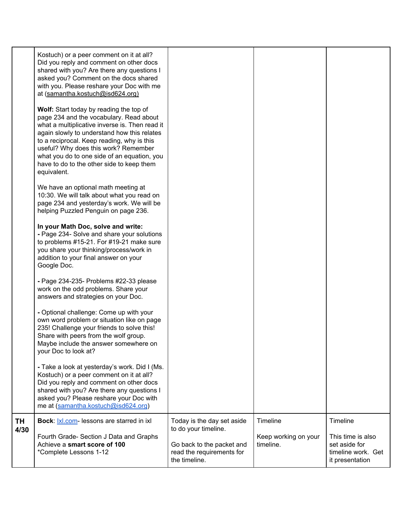| ΤH<br>4/30 | Bock: Ixl.com- lessons are starred in ixl<br>Fourth Grade- Section J Data and Graphs<br>Achieve a smart score of 100<br>*Complete Lessons 1-12                                                                                                                                                                                                                                                                                                                             | Today is the day set aside<br>to do your timeline.<br>Go back to the packet and<br>read the requirements for | Timeline<br>Keep working on your<br>timeline. | Timeline<br>This time is also<br>set aside for<br>timeline work. Get |
|------------|----------------------------------------------------------------------------------------------------------------------------------------------------------------------------------------------------------------------------------------------------------------------------------------------------------------------------------------------------------------------------------------------------------------------------------------------------------------------------|--------------------------------------------------------------------------------------------------------------|-----------------------------------------------|----------------------------------------------------------------------|
|            | own word problem or situation like on page<br>235! Challenge your friends to solve this!<br>Share with peers from the wolf group.<br>Maybe include the answer somewhere on<br>your Doc to look at?<br>- Take a look at yesterday's work. Did I (Ms.<br>Kostuch) or a peer comment on it at all?<br>Did you reply and comment on other docs<br>shared with you? Are there any questions I<br>asked you? Please reshare your Doc with<br>me at (samantha.kostuch@isd624.org) |                                                                                                              |                                               |                                                                      |
|            | - Page 234-235- Problems #22-33 please<br>work on the odd problems. Share your<br>answers and strategies on your Doc.<br>- Optional challenge: Come up with your                                                                                                                                                                                                                                                                                                           |                                                                                                              |                                               |                                                                      |
|            | In your Math Doc, solve and write:<br>- Page 234- Solve and share your solutions<br>to problems #15-21. For #19-21 make sure<br>you share your thinking/process/work in<br>addition to your final answer on your<br>Google Doc.                                                                                                                                                                                                                                            |                                                                                                              |                                               |                                                                      |
|            | We have an optional math meeting at<br>10:30. We will talk about what you read on<br>page 234 and yesterday's work. We will be<br>helping Puzzled Penguin on page 236.                                                                                                                                                                                                                                                                                                     |                                                                                                              |                                               |                                                                      |
|            | Wolf: Start today by reading the top of<br>page 234 and the vocabulary. Read about<br>what a multiplicative inverse is. Then read it<br>again slowly to understand how this relates<br>to a reciprocal. Keep reading, why is this<br>useful? Why does this work? Remember<br>what you do to one side of an equation, you<br>have to do to the other side to keep them<br>equivalent.                                                                                       |                                                                                                              |                                               |                                                                      |
|            | Kostuch) or a peer comment on it at all?<br>Did you reply and comment on other docs<br>shared with you? Are there any questions I<br>asked you? Comment on the docs shared<br>with you. Please reshare your Doc with me<br>at (samantha.kostuch@isd624.org)                                                                                                                                                                                                                |                                                                                                              |                                               |                                                                      |
|            |                                                                                                                                                                                                                                                                                                                                                                                                                                                                            |                                                                                                              |                                               |                                                                      |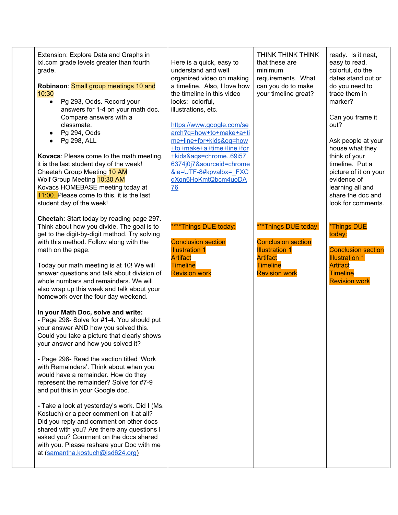| Extension: Explore Data and Graphs in<br>ixl.com grade levels greater than fourth<br>grade.<br>Robinson: Small group meetings 10 and<br>10:30<br>Pg 293, Odds. Record your<br>$\bullet$<br>answers for 1-4 on your math doc.<br>Compare answers with a<br>classmate.<br>Pg 294, Odds<br>$\bullet$<br>Pg 298, ALL<br>$\bullet$<br>Kovacs: Please come to the math meeting,<br>it is the last student day of the week!<br>Cheetah Group Meeting 10 AM<br>Wolf Group Meeting 10:30 AM<br>Kovacs HOMEBASE meeting today at<br>11:00. Please come to this, it is the last<br>student day of the week!                                                                                                                                                                                                                                                                                                                                                                                                                                                                                               | Here is a quick, easy to<br>understand and well<br>organized video on making<br>a timeline. Also, I love how<br>the timeline in this video<br>looks: colorful,<br>illustrations, etc.<br>https://www.google.com/se<br>arch?q=how+to+make+a+ti<br>me+line+for+kids&oq=how<br>+to+make+a+time+line+for<br>+kids&ags=chrome69i57.<br>6374j0j7&sourceid=chrome<br>&ie=UTF-8#kpvalbx= FXC<br>gXqn6HoKmtQbcm4uoDA<br>76 | THINK THINK THINK<br>that these are<br>minimum<br>requirements. What<br>can you do to make<br>your timeline great?                       | ready. Is it neat,<br>easy to read,<br>colorful, do the<br>dates stand out or<br>do you need to<br>trace them in<br>marker?<br>Can you frame it<br>out?<br>Ask people at your<br>house what they<br>think of your<br>timeline. Put a<br>picture of it on your<br>evidence of<br>learning all and<br>share the doc and<br>look for comments. |
|------------------------------------------------------------------------------------------------------------------------------------------------------------------------------------------------------------------------------------------------------------------------------------------------------------------------------------------------------------------------------------------------------------------------------------------------------------------------------------------------------------------------------------------------------------------------------------------------------------------------------------------------------------------------------------------------------------------------------------------------------------------------------------------------------------------------------------------------------------------------------------------------------------------------------------------------------------------------------------------------------------------------------------------------------------------------------------------------|-------------------------------------------------------------------------------------------------------------------------------------------------------------------------------------------------------------------------------------------------------------------------------------------------------------------------------------------------------------------------------------------------------------------|------------------------------------------------------------------------------------------------------------------------------------------|---------------------------------------------------------------------------------------------------------------------------------------------------------------------------------------------------------------------------------------------------------------------------------------------------------------------------------------------|
| Cheetah: Start today by reading page 297.<br>Think about how you divide. The goal is to<br>get to the digit-by-digit method. Try solving<br>with this method. Follow along with the<br>math on the page.<br>Today our math meeting is at 10! We will<br>answer questions and talk about division of<br>whole numbers and remainders. We will<br>also wrap up this week and talk about your<br>homework over the four day weekend.<br>In your Math Doc, solve and write:<br>- Page 298- Solve for #1-4. You should put<br>your answer AND how you solved this.<br>Could you take a picture that clearly shows<br>your answer and how you solved it?<br>- Page 298- Read the section titled 'Work<br>with Remainders'. Think about when you<br>would have a remainder. How do they<br>represent the remainder? Solve for #7-9<br>and put this in your Google doc.<br>- Take a look at yesterday's work. Did I (Ms.<br>Kostuch) or a peer comment on it at all?<br>Did you reply and comment on other docs<br>shared with you? Are there any questions I<br>asked you? Comment on the docs shared | ****Things DUE today:<br><b>Conclusion section</b><br><b>Illustration 1</b><br><b>Artifact</b><br><b>Timeline</b><br><b>Revision work</b>                                                                                                                                                                                                                                                                         | ***Things DUE today:<br><b>Conclusion section</b><br><b>Illustration 1</b><br><b>Artifact</b><br><b>Timeline</b><br><b>Revision work</b> | *Things DUE<br>today:<br><b>Conclusion section</b><br><b>Illustration 1</b><br><b>Artifact</b><br><b>Timeline</b><br><b>Revision work</b>                                                                                                                                                                                                   |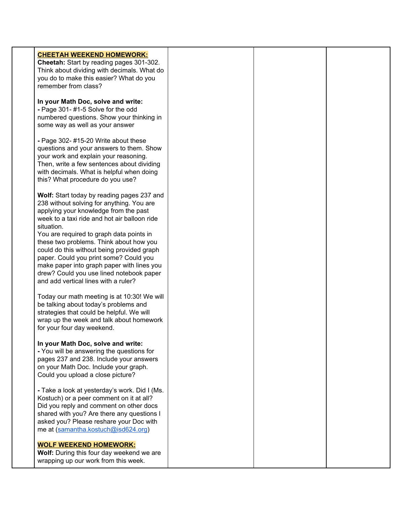| <b>CHEETAH WEEKEND HOMEWORK:</b><br>Cheetah: Start by reading pages 301-302.<br>Think about dividing with decimals. What do<br>you do to make this easier? What do you<br>remember from class?                                                                                                                                                                                                                                                                                                                  |  |  |
|-----------------------------------------------------------------------------------------------------------------------------------------------------------------------------------------------------------------------------------------------------------------------------------------------------------------------------------------------------------------------------------------------------------------------------------------------------------------------------------------------------------------|--|--|
| In your Math Doc, solve and write:<br>- Page 301-#1-5 Solve for the odd<br>numbered questions. Show your thinking in<br>some way as well as your answer                                                                                                                                                                                                                                                                                                                                                         |  |  |
| - Page 302- #15-20 Write about these<br>questions and your answers to them. Show<br>your work and explain your reasoning.<br>Then, write a few sentences about dividing<br>with decimals. What is helpful when doing<br>this? What procedure do you use?                                                                                                                                                                                                                                                        |  |  |
| Wolf: Start today by reading pages 237 and<br>238 without solving for anything. You are<br>applying your knowledge from the past<br>week to a taxi ride and hot air balloon ride<br>situation.<br>You are required to graph data points in<br>these two problems. Think about how you<br>could do this without being provided graph<br>paper. Could you print some? Could you<br>make paper into graph paper with lines you<br>drew? Could you use lined notebook paper<br>and add vertical lines with a ruler? |  |  |
| Today our math meeting is at 10:30! We will<br>be talking about today's problems and<br>strategies that could be helpful. We will<br>wrap up the week and talk about homework<br>for your four day weekend.                                                                                                                                                                                                                                                                                                     |  |  |
| In your Math Doc, solve and write:<br>- You will be answering the questions for<br>pages 237 and 238. Include your answers<br>on your Math Doc. Include your graph.<br>Could you upload a close picture?                                                                                                                                                                                                                                                                                                        |  |  |
| - Take a look at yesterday's work. Did I (Ms.<br>Kostuch) or a peer comment on it at all?<br>Did you reply and comment on other docs<br>shared with you? Are there any questions I<br>asked you? Please reshare your Doc with<br>me at (samantha.kostuch@isd624.org)                                                                                                                                                                                                                                            |  |  |
| <b>WOLF WEEKEND HOMEWORK:</b><br>Wolf: During this four day weekend we are<br>wrapping up our work from this week.                                                                                                                                                                                                                                                                                                                                                                                              |  |  |